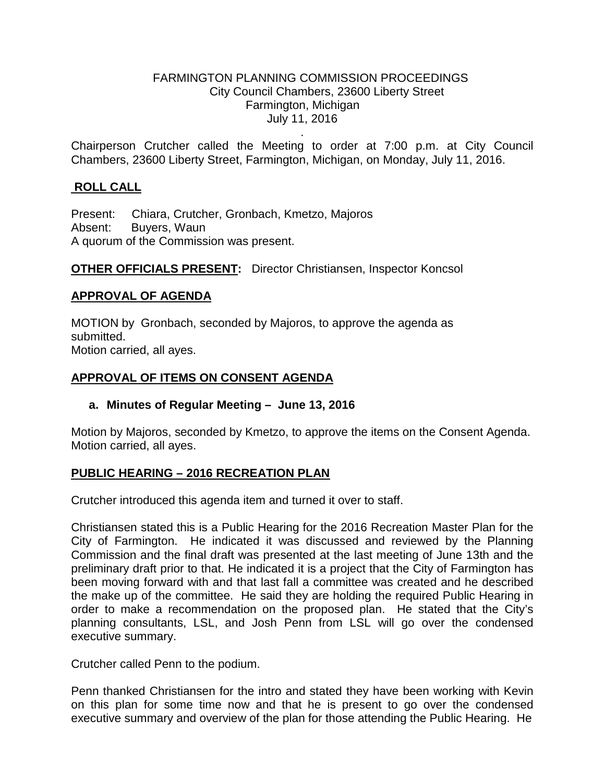### FARMINGTON PLANNING COMMISSION PROCEEDINGS City Council Chambers, 23600 Liberty Street Farmington, Michigan July 11, 2016

. Chairperson Crutcher called the Meeting to order at 7:00 p.m. at City Council Chambers, 23600 Liberty Street, Farmington, Michigan, on Monday, July 11, 2016.

## **ROLL CALL**

Present: Chiara, Crutcher, Gronbach, Kmetzo, Majoros Absent: Buyers, Waun A quorum of the Commission was present.

**OTHER OFFICIALS PRESENT:** Director Christiansen, Inspector Koncsol

### **APPROVAL OF AGENDA**

MOTION by Gronbach, seconded by Majoros, to approve the agenda as submitted. Motion carried, all ayes.

### **APPROVAL OF ITEMS ON CONSENT AGENDA**

### **a. Minutes of Regular Meeting – June 13, 2016**

Motion by Majoros, seconded by Kmetzo, to approve the items on the Consent Agenda. Motion carried, all ayes.

### **PUBLIC HEARING – 2016 RECREATION PLAN**

Crutcher introduced this agenda item and turned it over to staff.

Christiansen stated this is a Public Hearing for the 2016 Recreation Master Plan for the City of Farmington. He indicated it was discussed and reviewed by the Planning Commission and the final draft was presented at the last meeting of June 13th and the preliminary draft prior to that. He indicated it is a project that the City of Farmington has been moving forward with and that last fall a committee was created and he described the make up of the committee. He said they are holding the required Public Hearing in order to make a recommendation on the proposed plan. He stated that the City's planning consultants, LSL, and Josh Penn from LSL will go over the condensed executive summary.

Crutcher called Penn to the podium.

Penn thanked Christiansen for the intro and stated they have been working with Kevin on this plan for some time now and that he is present to go over the condensed executive summary and overview of the plan for those attending the Public Hearing. He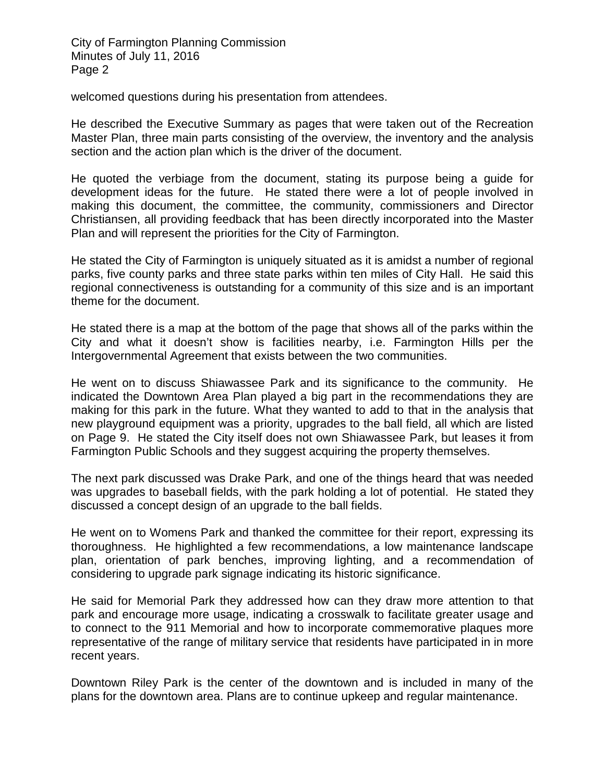welcomed questions during his presentation from attendees.

He described the Executive Summary as pages that were taken out of the Recreation Master Plan, three main parts consisting of the overview, the inventory and the analysis section and the action plan which is the driver of the document.

He quoted the verbiage from the document, stating its purpose being a guide for development ideas for the future. He stated there were a lot of people involved in making this document, the committee, the community, commissioners and Director Christiansen, all providing feedback that has been directly incorporated into the Master Plan and will represent the priorities for the City of Farmington.

He stated the City of Farmington is uniquely situated as it is amidst a number of regional parks, five county parks and three state parks within ten miles of City Hall. He said this regional connectiveness is outstanding for a community of this size and is an important theme for the document.

He stated there is a map at the bottom of the page that shows all of the parks within the City and what it doesn't show is facilities nearby, i.e. Farmington Hills per the Intergovernmental Agreement that exists between the two communities.

He went on to discuss Shiawassee Park and its significance to the community. He indicated the Downtown Area Plan played a big part in the recommendations they are making for this park in the future. What they wanted to add to that in the analysis that new playground equipment was a priority, upgrades to the ball field, all which are listed on Page 9. He stated the City itself does not own Shiawassee Park, but leases it from Farmington Public Schools and they suggest acquiring the property themselves.

The next park discussed was Drake Park, and one of the things heard that was needed was upgrades to baseball fields, with the park holding a lot of potential. He stated they discussed a concept design of an upgrade to the ball fields.

He went on to Womens Park and thanked the committee for their report, expressing its thoroughness. He highlighted a few recommendations, a low maintenance landscape plan, orientation of park benches, improving lighting, and a recommendation of considering to upgrade park signage indicating its historic significance.

He said for Memorial Park they addressed how can they draw more attention to that park and encourage more usage, indicating a crosswalk to facilitate greater usage and to connect to the 911 Memorial and how to incorporate commemorative plaques more representative of the range of military service that residents have participated in in more recent years.

Downtown Riley Park is the center of the downtown and is included in many of the plans for the downtown area. Plans are to continue upkeep and regular maintenance.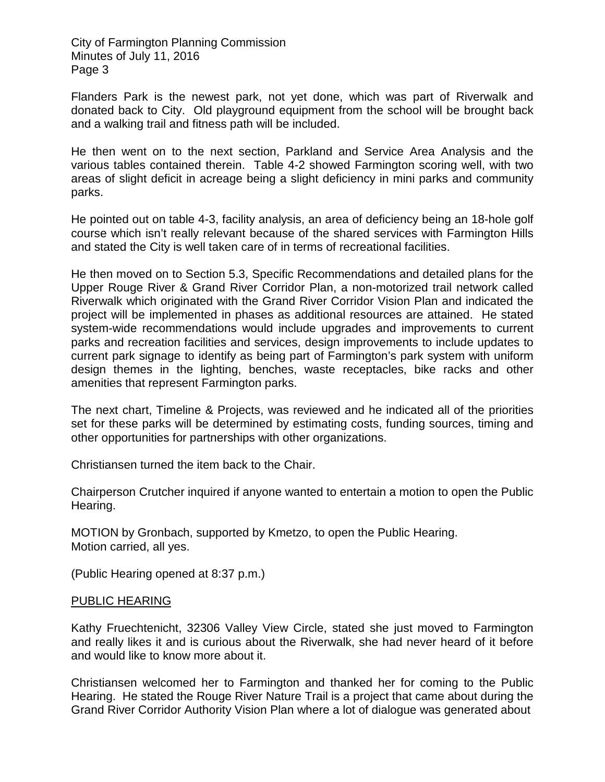Flanders Park is the newest park, not yet done, which was part of Riverwalk and donated back to City. Old playground equipment from the school will be brought back and a walking trail and fitness path will be included.

He then went on to the next section, Parkland and Service Area Analysis and the various tables contained therein. Table 4-2 showed Farmington scoring well, with two areas of slight deficit in acreage being a slight deficiency in mini parks and community parks.

He pointed out on table 4-3, facility analysis, an area of deficiency being an 18-hole golf course which isn't really relevant because of the shared services with Farmington Hills and stated the City is well taken care of in terms of recreational facilities.

He then moved on to Section 5.3, Specific Recommendations and detailed plans for the Upper Rouge River & Grand River Corridor Plan, a non-motorized trail network called Riverwalk which originated with the Grand River Corridor Vision Plan and indicated the project will be implemented in phases as additional resources are attained. He stated system-wide recommendations would include upgrades and improvements to current parks and recreation facilities and services, design improvements to include updates to current park signage to identify as being part of Farmington's park system with uniform design themes in the lighting, benches, waste receptacles, bike racks and other amenities that represent Farmington parks.

The next chart, Timeline & Projects, was reviewed and he indicated all of the priorities set for these parks will be determined by estimating costs, funding sources, timing and other opportunities for partnerships with other organizations.

Christiansen turned the item back to the Chair.

Chairperson Crutcher inquired if anyone wanted to entertain a motion to open the Public Hearing.

MOTION by Gronbach, supported by Kmetzo, to open the Public Hearing. Motion carried, all yes.

(Public Hearing opened at 8:37 p.m.)

#### PUBLIC HEARING

Kathy Fruechtenicht, 32306 Valley View Circle, stated she just moved to Farmington and really likes it and is curious about the Riverwalk, she had never heard of it before and would like to know more about it.

Christiansen welcomed her to Farmington and thanked her for coming to the Public Hearing. He stated the Rouge River Nature Trail is a project that came about during the Grand River Corridor Authority Vision Plan where a lot of dialogue was generated about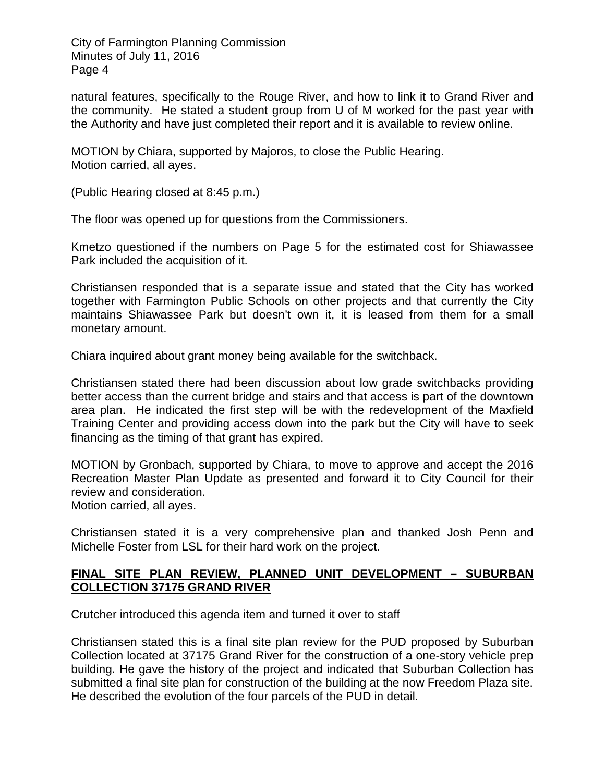natural features, specifically to the Rouge River, and how to link it to Grand River and the community. He stated a student group from U of M worked for the past year with the Authority and have just completed their report and it is available to review online.

MOTION by Chiara, supported by Majoros, to close the Public Hearing. Motion carried, all ayes.

(Public Hearing closed at 8:45 p.m.)

The floor was opened up for questions from the Commissioners.

Kmetzo questioned if the numbers on Page 5 for the estimated cost for Shiawassee Park included the acquisition of it.

Christiansen responded that is a separate issue and stated that the City has worked together with Farmington Public Schools on other projects and that currently the City maintains Shiawassee Park but doesn't own it, it is leased from them for a small monetary amount.

Chiara inquired about grant money being available for the switchback.

Christiansen stated there had been discussion about low grade switchbacks providing better access than the current bridge and stairs and that access is part of the downtown area plan. He indicated the first step will be with the redevelopment of the Maxfield Training Center and providing access down into the park but the City will have to seek financing as the timing of that grant has expired.

MOTION by Gronbach, supported by Chiara, to move to approve and accept the 2016 Recreation Master Plan Update as presented and forward it to City Council for their review and consideration.

Motion carried, all ayes.

Christiansen stated it is a very comprehensive plan and thanked Josh Penn and Michelle Foster from LSL for their hard work on the project.

### **FINAL SITE PLAN REVIEW, PLANNED UNIT DEVELOPMENT – SUBURBAN COLLECTION 37175 GRAND RIVER**

Crutcher introduced this agenda item and turned it over to staff

Christiansen stated this is a final site plan review for the PUD proposed by Suburban Collection located at 37175 Grand River for the construction of a one-story vehicle prep building. He gave the history of the project and indicated that Suburban Collection has submitted a final site plan for construction of the building at the now Freedom Plaza site. He described the evolution of the four parcels of the PUD in detail.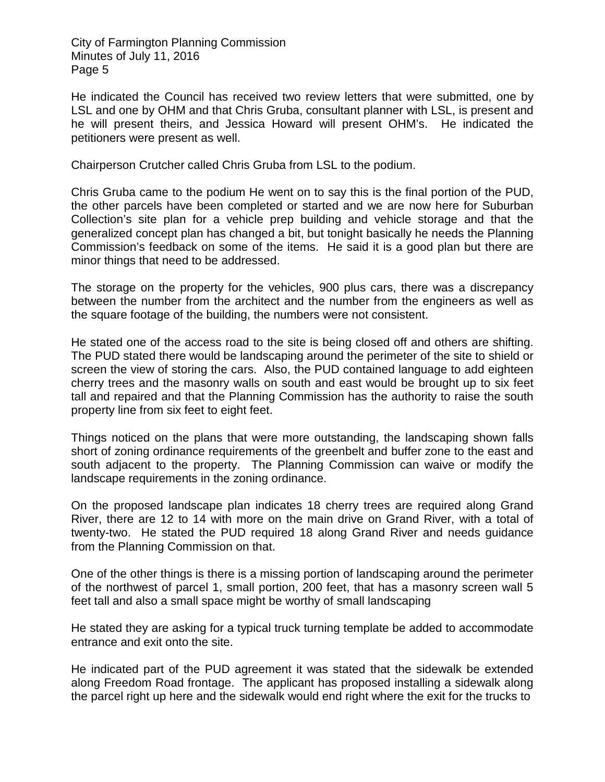He indicated the Council has received two review letters that were submitted, one by LSL and one by OHM and that Chris Gruba, consultant planner with LSL, is present and he will present theirs, and Jessica Howard will present OHM's. He indicated the petitioners were present as well.

Chairperson Crutcher called Chris Gruba from LSL to the podium.

Chris Gruba came to the podium He went on to say this is the final portion of the PUD, the other parcels have been completed or started and we are now here for Suburban Collection's site plan for a vehicle prep building and vehicle storage and that the generalized concept plan has changed a bit, but tonight basically he needs the Planning Commission's feedback on some of the items. He said it is a good plan but there are minor things that need to be addressed.

The storage on the property for the vehicles, 900 plus cars, there was a discrepancy between the number from the architect and the number from the engineers as well as the square footage of the building, the numbers were not consistent.

He stated one of the access road to the site is being closed off and others are shifting. The PUD stated there would be landscaping around the perimeter of the site to shield or screen the view of storing the cars. Also, the PUD contained language to add eighteen cherry trees and the masonry walls on south and east would be brought up to six feet tall and repaired and that the Planning Commission has the authority to raise the south property line from six feet to eight feet.

Things noticed on the plans that were more outstanding, the landscaping shown falls short of zoning ordinance requirements of the greenbelt and buffer zone to the east and south adjacent to the property. The Planning Commission can waive or modify the landscape requirements in the zoning ordinance.

On the proposed landscape plan indicates 18 cherry trees are required along Grand River, there are 12 to 14 with more on the main drive on Grand River, with a total of twenty-two. He stated the PUD required 18 along Grand River and needs guidance from the Planning Commission on that.

One of the other things is there is a missing portion of landscaping around the perimeter of the northwest of parcel 1, small portion, 200 feet, that has a masonry screen wall 5 feet tall and also a small space might be worthy of small landscaping

He stated they are asking for a typical truck turning template be added to accommodate entrance and exit onto the site.

He indicated part of the PUD agreement it was stated that the sidewalk be extended along Freedom Road frontage. The applicant has proposed installing a sidewalk along the parcel right up here and the sidewalk would end right where the exit for the trucks to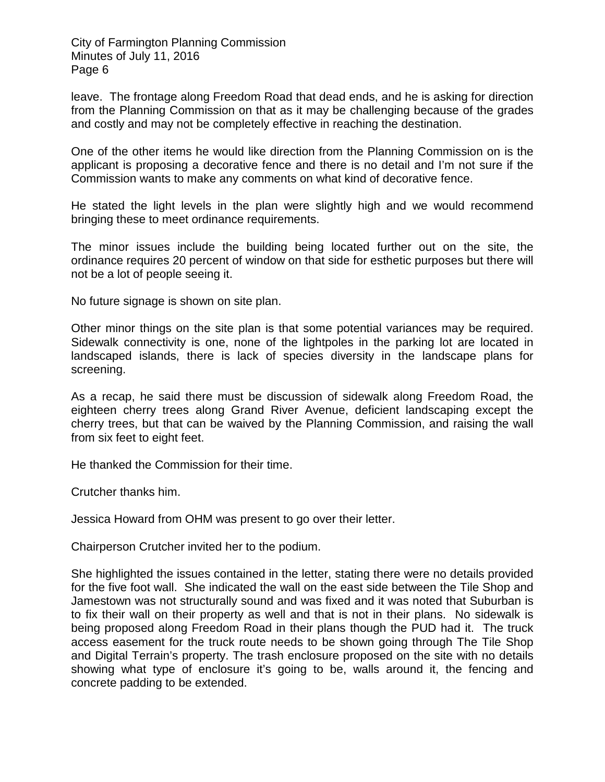leave. The frontage along Freedom Road that dead ends, and he is asking for direction from the Planning Commission on that as it may be challenging because of the grades and costly and may not be completely effective in reaching the destination.

One of the other items he would like direction from the Planning Commission on is the applicant is proposing a decorative fence and there is no detail and I'm not sure if the Commission wants to make any comments on what kind of decorative fence.

He stated the light levels in the plan were slightly high and we would recommend bringing these to meet ordinance requirements.

The minor issues include the building being located further out on the site, the ordinance requires 20 percent of window on that side for esthetic purposes but there will not be a lot of people seeing it.

No future signage is shown on site plan.

Other minor things on the site plan is that some potential variances may be required. Sidewalk connectivity is one, none of the lightpoles in the parking lot are located in landscaped islands, there is lack of species diversity in the landscape plans for screening.

As a recap, he said there must be discussion of sidewalk along Freedom Road, the eighteen cherry trees along Grand River Avenue, deficient landscaping except the cherry trees, but that can be waived by the Planning Commission, and raising the wall from six feet to eight feet.

He thanked the Commission for their time.

Crutcher thanks him.

Jessica Howard from OHM was present to go over their letter.

Chairperson Crutcher invited her to the podium.

She highlighted the issues contained in the letter, stating there were no details provided for the five foot wall. She indicated the wall on the east side between the Tile Shop and Jamestown was not structurally sound and was fixed and it was noted that Suburban is to fix their wall on their property as well and that is not in their plans. No sidewalk is being proposed along Freedom Road in their plans though the PUD had it. The truck access easement for the truck route needs to be shown going through The Tile Shop and Digital Terrain's property. The trash enclosure proposed on the site with no details showing what type of enclosure it's going to be, walls around it, the fencing and concrete padding to be extended.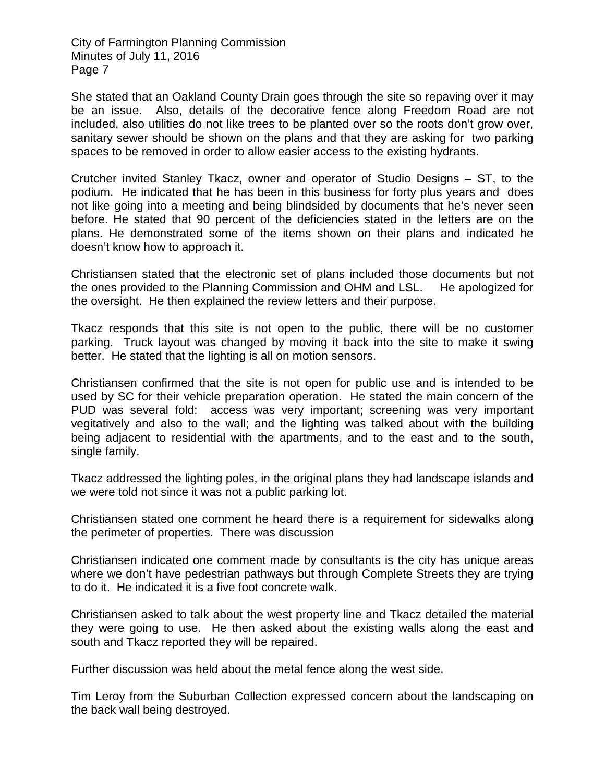She stated that an Oakland County Drain goes through the site so repaving over it may be an issue. Also, details of the decorative fence along Freedom Road are not included, also utilities do not like trees to be planted over so the roots don't grow over, sanitary sewer should be shown on the plans and that they are asking for two parking spaces to be removed in order to allow easier access to the existing hydrants.

Crutcher invited Stanley Tkacz, owner and operator of Studio Designs – ST, to the podium. He indicated that he has been in this business for forty plus years and does not like going into a meeting and being blindsided by documents that he's never seen before. He stated that 90 percent of the deficiencies stated in the letters are on the plans. He demonstrated some of the items shown on their plans and indicated he doesn't know how to approach it.

Christiansen stated that the electronic set of plans included those documents but not the ones provided to the Planning Commission and OHM and LSL. He apologized for the oversight. He then explained the review letters and their purpose.

Tkacz responds that this site is not open to the public, there will be no customer parking. Truck layout was changed by moving it back into the site to make it swing better. He stated that the lighting is all on motion sensors.

Christiansen confirmed that the site is not open for public use and is intended to be used by SC for their vehicle preparation operation. He stated the main concern of the PUD was several fold: access was very important; screening was very important vegitatively and also to the wall; and the lighting was talked about with the building being adjacent to residential with the apartments, and to the east and to the south, single family.

Tkacz addressed the lighting poles, in the original plans they had landscape islands and we were told not since it was not a public parking lot.

Christiansen stated one comment he heard there is a requirement for sidewalks along the perimeter of properties. There was discussion

Christiansen indicated one comment made by consultants is the city has unique areas where we don't have pedestrian pathways but through Complete Streets they are trying to do it. He indicated it is a five foot concrete walk.

Christiansen asked to talk about the west property line and Tkacz detailed the material they were going to use. He then asked about the existing walls along the east and south and Tkacz reported they will be repaired.

Further discussion was held about the metal fence along the west side.

Tim Leroy from the Suburban Collection expressed concern about the landscaping on the back wall being destroyed.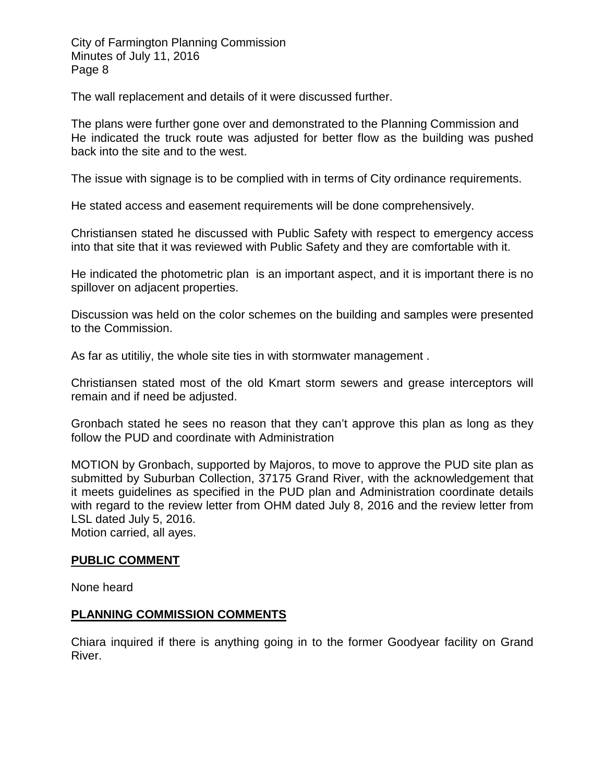The wall replacement and details of it were discussed further.

The plans were further gone over and demonstrated to the Planning Commission and He indicated the truck route was adjusted for better flow as the building was pushed back into the site and to the west.

The issue with signage is to be complied with in terms of City ordinance requirements.

He stated access and easement requirements will be done comprehensively.

Christiansen stated he discussed with Public Safety with respect to emergency access into that site that it was reviewed with Public Safety and they are comfortable with it.

He indicated the photometric plan is an important aspect, and it is important there is no spillover on adjacent properties.

Discussion was held on the color schemes on the building and samples were presented to the Commission.

As far as utitiliy, the whole site ties in with stormwater management .

Christiansen stated most of the old Kmart storm sewers and grease interceptors will remain and if need be adjusted.

Gronbach stated he sees no reason that they can't approve this plan as long as they follow the PUD and coordinate with Administration

MOTION by Gronbach, supported by Majoros, to move to approve the PUD site plan as submitted by Suburban Collection, 37175 Grand River, with the acknowledgement that it meets guidelines as specified in the PUD plan and Administration coordinate details with regard to the review letter from OHM dated July 8, 2016 and the review letter from LSL dated July 5, 2016.

Motion carried, all ayes.

### **PUBLIC COMMENT**

None heard

### **PLANNING COMMISSION COMMENTS**

Chiara inquired if there is anything going in to the former Goodyear facility on Grand River.